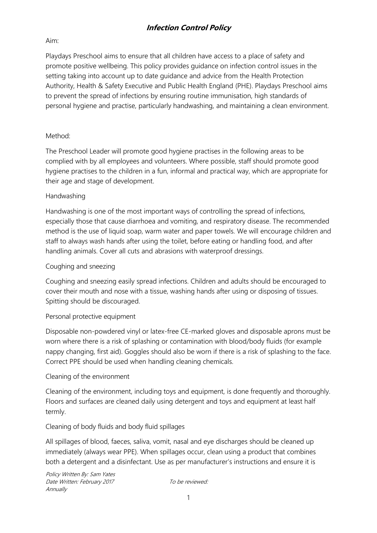## **Infection Control Policy**

## Aim:

Playdays Preschool aims to ensure that all children have access to a place of safety and promote positive wellbeing. This policy provides guidance on infection control issues in the setting taking into account up to date guidance and advice from the Health Protection Authority, Health & Safety Executive and Public Health England (PHE). Playdays Preschool aims to prevent the spread of infections by ensuring routine immunisation, high standards of personal hygiene and practise, particularly handwashing, and maintaining a clean environment.

## Method:

The Preschool Leader will promote good hygiene practises in the following areas to be complied with by all employees and volunteers. Where possible, staff should promote good hygiene practises to the children in a fun, informal and practical way, which are appropriate for their age and stage of development.

## Handwashing

Handwashing is one of the most important ways of controlling the spread of infections, especially those that cause diarrhoea and vomiting, and respiratory disease. The recommended method is the use of liquid soap, warm water and paper towels. We will encourage children and staff to always wash hands after using the toilet, before eating or handling food, and after handling animals. Cover all cuts and abrasions with waterproof dressings.

### Coughing and sneezing

Coughing and sneezing easily spread infections. Children and adults should be encouraged to cover their mouth and nose with a tissue, washing hands after using or disposing of tissues. Spitting should be discouraged.

## Personal protective equipment

Disposable non-powdered vinyl or latex-free CE-marked gloves and disposable aprons must be worn where there is a risk of splashing or contamination with blood/body fluids (for example nappy changing, first aid). Goggles should also be worn if there is a risk of splashing to the face. Correct PPE should be used when handling cleaning chemicals.

## Cleaning of the environment

Cleaning of the environment, including toys and equipment, is done frequently and thoroughly. Floors and surfaces are cleaned daily using detergent and toys and equipment at least half termly.

Cleaning of body fluids and body fluid spillages

All spillages of blood, faeces, saliva, vomit, nasal and eye discharges should be cleaned up immediately (always wear PPE). When spillages occur, clean using a product that combines both a detergent and a disinfectant. Use as per manufacturer's instructions and ensure it is

Policy Written By: Sam Yates Date Written: February 2017 To be reviewed: Annually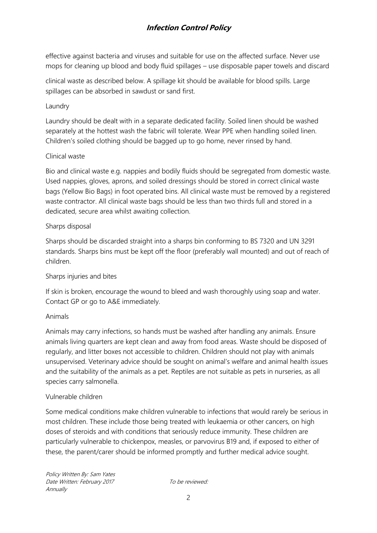# **Infection Control Policy**

effective against bacteria and viruses and suitable for use on the affected surface. Never use mops for cleaning up blood and body fluid spillages – use disposable paper towels and discard

clinical waste as described below. A spillage kit should be available for blood spills. Large spillages can be absorbed in sawdust or sand first.

## Laundry

Laundry should be dealt with in a separate dedicated facility. Soiled linen should be washed separately at the hottest wash the fabric will tolerate. Wear PPE when handling soiled linen. Children's soiled clothing should be bagged up to go home, never rinsed by hand.

#### Clinical waste

Bio and clinical waste e.g. nappies and bodily fluids should be segregated from domestic waste. Used nappies, gloves, aprons, and soiled dressings should be stored in correct clinical waste bags (Yellow Bio Bags) in foot operated bins. All clinical waste must be removed by a registered waste contractor. All clinical waste bags should be less than two thirds full and stored in a dedicated, secure area whilst awaiting collection.

#### Sharps disposal

Sharps should be discarded straight into a sharps bin conforming to BS 7320 and UN 3291 standards. Sharps bins must be kept off the floor (preferably wall mounted) and out of reach of children.

## Sharps injuries and bites

If skin is broken, encourage the wound to bleed and wash thoroughly using soap and water. Contact GP or go to A&E immediately.

## Animals

Animals may carry infections, so hands must be washed after handling any animals. Ensure animals living quarters are kept clean and away from food areas. Waste should be disposed of regularly, and litter boxes not accessible to children. Children should not play with animals unsupervised. Veterinary advice should be sought on animal's welfare and animal health issues and the suitability of the animals as a pet. Reptiles are not suitable as pets in nurseries, as all species carry salmonella.

#### Vulnerable children

Some medical conditions make children vulnerable to infections that would rarely be serious in most children. These include those being treated with leukaemia or other cancers, on high doses of steroids and with conditions that seriously reduce immunity. These children are particularly vulnerable to chickenpox, measles, or parvovirus B19 and, if exposed to either of these, the parent/carer should be informed promptly and further medical advice sought.

Policy Written By: Sam Yates Date Written: February 2017 To be reviewed: Annually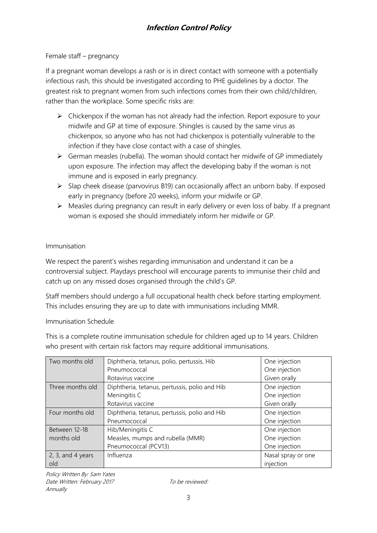## Female staff – pregnancy

If a pregnant woman develops a rash or is in direct contact with someone with a potentially infectious rash, this should be investigated according to PHE guidelines by a doctor. The greatest risk to pregnant women from such infections comes from their own child/children, rather than the workplace. Some specific risks are:

- $\triangleright$  Chickenpox if the woman has not already had the infection. Report exposure to your midwife and GP at time of exposure. Shingles is caused by the same virus as chickenpox, so anyone who has not had chickenpox is potentially vulnerable to the infection if they have close contact with a case of shingles.
- $\triangleright$  German measles (rubella). The woman should contact her midwife of GP immediately upon exposure. The infection may affect the developing baby if the woman is not immune and is exposed in early pregnancy.
- $\triangleright$  Slap cheek disease (parvovirus B19) can occasionally affect an unborn baby. If exposed early in pregnancy (before 20 weeks), inform your midwife or GP.
- Measles during pregnancy can result in early delivery or even loss of baby. If a pregnant woman is exposed she should immediately inform her midwife or GP.

## Immunisation

We respect the parent's wishes regarding immunisation and understand it can be a controversial subject. Playdays preschool will encourage parents to immunise their child and catch up on any missed doses organised through the child's GP.

Staff members should undergo a full occupational health check before starting employment. This includes ensuring they are up to date with immunisations including MMR.

## Immunisation Schedule

This is a complete routine immunisation schedule for children aged up to 14 years. Children who present with certain risk factors may require additional immunisations.

| Two months old      | Diphtheria, tetanus, polio, pertussis, Hib    | One injection      |
|---------------------|-----------------------------------------------|--------------------|
|                     | Pneumococcal                                  | One injection      |
|                     | Rotavirus vaccine                             | Given orally       |
| Three months old    | Diphtheria, tetanus, pertussis, polio and Hib | One injection      |
|                     | Meningitis C                                  | One injection      |
|                     | Rotavirus vaccine                             | Given orally       |
| Four months old     | Diphtheria, tetanus, pertussis, polio and Hib | One injection      |
|                     | Pneumococcal                                  | One injection      |
| Between 12-18       | Hib/Meningitis C                              | One injection      |
| months old          | Measles, mumps and rubella (MMR)              | One injection      |
|                     | Pneumococcal (PCV13)                          | One injection      |
| $2, 3,$ and 4 years | Influenza                                     | Nasal spray or one |
| old                 |                                               | injection          |

Policy Written By: Sam Yates Date Written: February 2017 To be reviewed: Annually